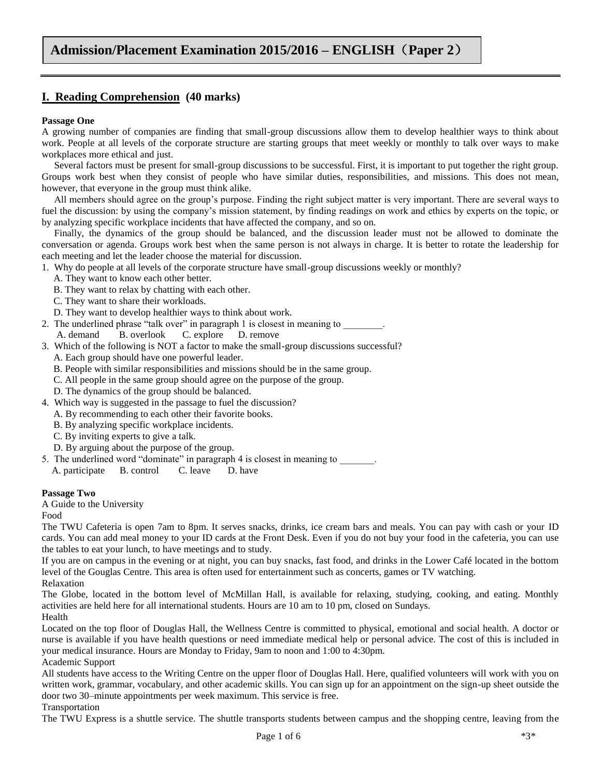# **I. Reading Comprehension (40 marks)**

#### **Passage One**

A growing number of companies are finding that small-group discussions allow them to develop healthier ways to think about work. People at all levels of the corporate structure are starting groups that meet weekly or monthly to talk over ways to make workplaces more ethical and just.

 Several factors must be present for small-group discussions to be successful. First, it is important to put together the right group. Groups work best when they consist of people who have similar duties, responsibilities, and missions. This does not mean, however, that everyone in the group must think alike.

 All members should agree on the group's purpose. Finding the right subject matter is very important. There are several ways to fuel the discussion: by using the company's mission statement, by finding readings on work and ethics by experts on the topic, or by analyzing specific workplace incidents that have affected the company, and so on.

 Finally, the dynamics of the group should be balanced, and the discussion leader must not be allowed to dominate the conversation or agenda. Groups work best when the same person is not always in charge. It is better to rotate the leadership for each meeting and let the leader choose the material for discussion.

1. Why do people at all levels of the corporate structure have small-group discussions weekly or monthly?

- A. They want to know each other better.
- B. They want to relax by chatting with each other.
- C. They want to share their workloads.
- D. They want to develop healthier ways to think about work.
- 2. The underlined phrase "talk over" in paragraph 1 is closest in meaning to A. demand B. overlook C. explore D. remove
- 3. Which of the following is NOT a factor to make the small-group discussions successful?
	- A. Each group should have one powerful leader.
	- B. People with similar responsibilities and missions should be in the same group.
	- C. All people in the same group should agree on the purpose of the group.
	- D. The dynamics of the group should be balanced.
- 4. Which way is suggested in the passage to fuel the discussion?
	- A. By recommending to each other their favorite books.
	- B. By analyzing specific workplace incidents.
	- C. By inviting experts to give a talk.
	- D. By arguing about the purpose of the group.
- 5. The underlined word "dominate" in paragraph 4 is closest in meaning to

A. participate B. control C. leave D. have

#### **Passage Two**

A Guide to the University

Food

The TWU Cafeteria is open 7am to 8pm. It serves snacks, drinks, ice cream bars and meals. You can pay with cash or your ID cards. You can add meal money to your ID cards at the Front Desk. Even if you do not buy your food in the cafeteria, you can use the tables to eat your lunch, to have meetings and to study.

If you are on campus in the evening or at night, you can buy snacks, fast food, and drinks in the Lower Café located in the bottom level of the Gouglas Centre. This area is often used for entertainment such as concerts, games or TV watching.

Relaxation

The Globe, located in the bottom level of McMillan Hall, is available for relaxing, studying, cooking, and eating. Monthly activities are held here for all international students. Hours are 10 am to 10 pm, closed on Sundays. Health

Located on the top floor of Douglas Hall, the Wellness Centre is committed to physical, emotional and social health. A doctor or nurse is available if you have health questions or need immediate medical help or personal advice. The cost of this is included in your medical insurance. Hours are Monday to Friday, 9am to noon and 1:00 to 4:30pm.

Academic Support

All students have access to the Writing Centre on the upper floor of Douglas Hall. Here, qualified volunteers will work with you on written work, grammar, vocabulary, and other academic skills. You can sign up for an appointment on the sign-up sheet outside the door two 30–minute appointments per week maximum. This service is free.

### Transportation

The TWU Express is a shuttle service. The shuttle transports students between campus and the shopping centre, leaving from the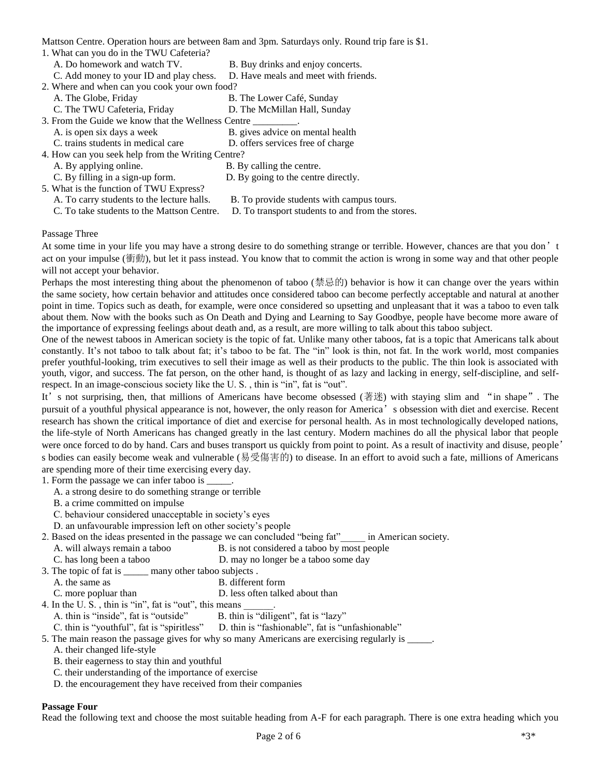Mattson Centre. Operation hours are between 8am and 3pm. Saturdays only. Round trip fare is \$1.

- 1. What can you do in the TWU Cafeteria?
	- A. Do homework and watch TV. B. Buy drinks and enjoy concerts.
	- C. Add money to your ID and play chess. D. Have meals and meet with friends.
- 2. Where and when can you cook your own food?
	- A. The Globe, Friday B. The Lower Café, Sunday
		-
	- C. The TWU Cafeteria, Friday D. The McMillan Hall, Sunday
- 3. From the Guide we know that the Wellness Centre \_\_\_\_\_\_\_\_\_.
	- A. is open six days a week B. gives advice on mental health
	- C. trains students in medical care D. offers services free of charge
- 4. How can you seek help from the Writing Centre?
	-
	- A. By applying online. B. By calling the centre.
	- C. By filling in a sign-up form. D. By going to the centre directly.
- 5. What is the function of TWU Express?<br>A. To carry students to the lecture halls.
- B. To provide students with campus tours.
- C. To take students to the Mattson Centre. D. To transport students to and from the stores.
- 

#### Passage Three

At some time in your life you may have a strong desire to do something strange or terrible. However, chances are that you don't act on your impulse (衝動), but let it pass instead. You know that to commit the action is wrong in some way and that other people will not accept your behavior.

Perhaps the most interesting thing about the phenomenon of taboo (禁忌的) behavior is how it can change over the years within the same society, how certain behavior and attitudes once considered taboo can become perfectly acceptable and natural at another point in time. Topics such as death, for example, were once considered so upsetting and unpleasant that it was a taboo to even talk about them. Now with the books such as On Death and Dying and Learning to Say Goodbye, people have become more aware of the importance of expressing feelings about death and, as a result, are more willing to talk about this taboo subject.

One of the newest taboos in American society is the topic of fat. Unlike many other taboos, fat is a topic that Americans talk about constantly. It's not taboo to talk about fat; it's taboo to be fat. The "in" look is thin, not fat. In the work world, most companies prefer youthful-looking, trim executives to sell their image as well as their products to the public. The thin look is associated with youth, vigor, and success. The fat person, on the other hand, is thought of as lazy and lacking in energy, self-discipline, and selfrespect. In an image-conscious society like the U. S. , thin is "in", fat is "out".

It's not surprising, then, that millions of Americans have become obsessed (著迷) with staying slim and "in shape". The pursuit of a youthful physical appearance is not, however, the only reason for America's obsession with diet and exercise. Recent research has shown the critical importance of diet and exercise for personal health. As in most technologically developed nations, the life-style of North Americans has changed greatly in the last century. Modern machines do all the physical labor that people were once forced to do by hand. Cars and buses transport us quickly from point to point. As a result of inactivity and disuse, people' s bodies can easily become weak and vulnerable (易受傷害的) to disease. In an effort to avoid such a fate, millions of Americans are spending more of their time exercising every day.

1. Form the passage we can infer taboo is \_\_\_\_\_.

- A. a strong desire to do something strange or terrible
- B. a crime committed on impulse
- C. behaviour considered unacceptable in society's eyes
- D. an unfavourable impression left on other society's people
- 2. Based on the ideas presented in the passage we can concluded "being fat" in American society.
	- A. will always remain a taboo B. is not considered a taboo by most people
	- C. has long been a taboo D. may no longer be a taboo some day

3. The topic of fat is \_\_\_\_\_ many other taboo subjects .

- A. the same as B. different form
- C. more popluar than  $D$ . less often talked about than
- 4. In the U.S., thin is "in", fat is "out", this means
	- A. thin is "inside", fat is "outside" B. thin is "diligent", fat is "lazy"
	- C. thin is "youthful", fat is "spiritless" D. thin is "fashionable", fat is "unfashionable"

5. The main reason the passage gives for why so many Americans are exercising regularly is \_\_\_\_\_.

- A. their changed life-style
- B. their eagerness to stay thin and youthful
- C. their understanding of the importance of exercise
- D. the encouragement they have received from their companies

### **Passage Four**

Read the following text and choose the most suitable heading from A-F for each paragraph. There is one extra heading which you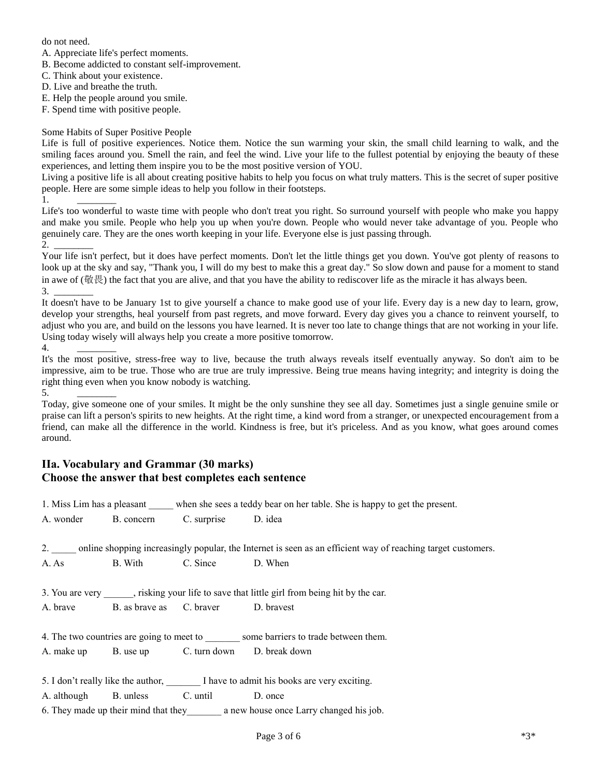do not need.

 $1$ .

A. Appreciate life's perfect moments.

B. Become addicted to constant self-improvement.

C. Think about your existence.

D. Live and breathe the truth.

E. Help the people around you smile.

F. Spend time with positive people.

### Some Habits of Super Positive People

Life is full of positive experiences. Notice them. Notice the sun warming your skin, the small child learning to walk, and the smiling faces around you. Smell the rain, and feel the wind. Live your life to the fullest potential by enjoying the beauty of these experiences, and letting them inspire you to be the most positive version of YOU.

Living a positive life is all about creating positive habits to help you focus on what truly matters. This is the secret of super positive people. Here are some simple ideas to help you follow in their footsteps.

Life's too wonderful to waste time with people who don't treat you right. So surround yourself with people who make you happy and make you smile. People who help you up when you're down. People who would never take advantage of you. People who genuinely care. They are the ones worth keeping in your life. Everyone else is just passing through.  $2.$ 

Your life isn't perfect, but it does have perfect moments. Don't let the little things get you down. You've got plenty of reasons to look up at the sky and say, "Thank you, I will do my best to make this a great day." So slow down and pause for a moment to stand in awe of (敬畏) the fact that you are alive, and that you have the ability to rediscover life as the miracle it has always been.  $3.$ 

It doesn't have to be January 1st to give yourself a chance to make good use of your life. Every day is a new day to learn, grow, develop your strengths, heal yourself from past regrets, and move forward. Every day gives you a chance to reinvent yourself, to adjust who you are, and build on the lessons you have learned. It is never too late to change things that are not working in your life. Using today wisely will always help you create a more positive tomorrow. 4.

It's the most positive, stress-free way to live, because the truth always reveals itself eventually anyway. So don't aim to be impressive, aim to be true. Those who are true are truly impressive. Being true means having integrity; and integrity is doing the right thing even when you know nobody is watching.  $5.$ 

Today, give someone one of your smiles. It might be the only sunshine they see all day. Sometimes just a single genuine smile or praise can lift a person's spirits to new heights. At the right time, a kind word from a stranger, or unexpected encouragement from a friend, can make all the difference in the world. Kindness is free, but it's priceless. And as you know, what goes around comes around.

## **IIa. Vocabulary and Grammar (30 marks) Choose the answer that best completes each sentence**

|                                                                                |                                                 |  | 1. Miss Lim has a pleasant when she sees a teddy bear on her table. She is happy to get the present.                  |  |  |  |
|--------------------------------------------------------------------------------|-------------------------------------------------|--|-----------------------------------------------------------------------------------------------------------------------|--|--|--|
|                                                                                | A. wonder B. concern C. surprise D. idea        |  |                                                                                                                       |  |  |  |
|                                                                                |                                                 |  | 2. _____ online shopping increasingly popular, the Internet is seen as an efficient way of reaching target customers. |  |  |  |
|                                                                                | A. As B. With C. Since D. When                  |  |                                                                                                                       |  |  |  |
|                                                                                |                                                 |  | 3. You are very _______, risking your life to save that little girl from being hit by the car.                        |  |  |  |
|                                                                                | A. brave B. as brave as C. braver D. bravest    |  |                                                                                                                       |  |  |  |
| 4. The two countries are going to meet to some barriers to trade between them. |                                                 |  |                                                                                                                       |  |  |  |
|                                                                                | A. make up B. use up C. turn down D. break down |  |                                                                                                                       |  |  |  |
|                                                                                |                                                 |  | 5. I don't really like the author, I have to admit his books are very exciting.                                       |  |  |  |
|                                                                                | A. although B. unless C. until D. once          |  |                                                                                                                       |  |  |  |
|                                                                                |                                                 |  |                                                                                                                       |  |  |  |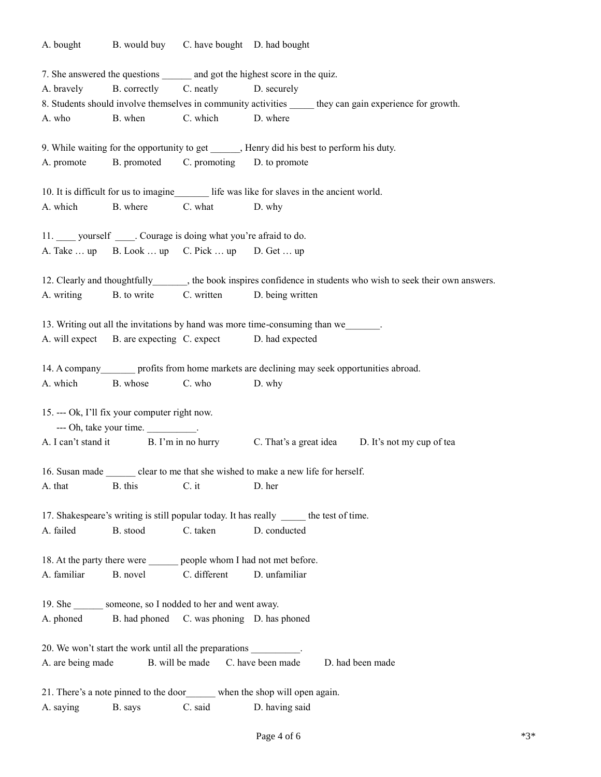A. bought B. would buy C. have bought D. had bought 7. She answered the questions and got the highest score in the quiz. A. bravely B. correctly C. neatly D. securely 8. Students should involve themselves in community activities \_\_\_\_\_\_ they can gain experience for growth. A. who B. when C. which D. where 9. While waiting for the opportunity to get Figure , Henry did his best to perform his duty. A. promote B. promoted C. promoting D. to promote 10. It is difficult for us to imagine life was like for slaves in the ancient world. A. which B. where C. what D. why 11. yourself Courage is doing what you're afraid to do. A. Take  $\dots$  up B. Look  $\dots$  up C. Pick  $\dots$  up D. Get  $\dots$  up 12. Clearly and thoughtfully the book inspires confidence in students who wish to seek their own answers. A. writing B. to write C. written D. being written 13. Writing out all the invitations by hand was more time-consuming than we A. will expect B. are expecting C. expect D. had expected 14. A company profits from home markets are declining may seek opportunities abroad. A. which B. whose C. who D. why 15. --- Ok, I'll fix your computer right now. --- Oh, take your time. A. I can't stand it B. I'm in no hurry C. That's a great idea D. It's not my cup of tea 16. Susan made clear to me that she wished to make a new life for herself. A. that B. this C. it D. her 17. Shakespeare's writing is still popular today. It has really \_\_\_\_\_ the test of time. A. failed B. stood C. taken D. conducted 18. At the party there were people whom I had not met before. A. familiar B. novel C. different D. unfamiliar 19. She someone, so I nodded to her and went away. A. phoned B. had phoned C. was phoning D. has phoned 20. We won't start the work until all the preparations \_\_\_\_\_\_\_\_\_\_. A. are being made B. will be made C. have been made D. had been made 21. There's a note pinned to the door\_\_\_\_\_\_ when the shop will open again. A. saying B. says C. said D. having said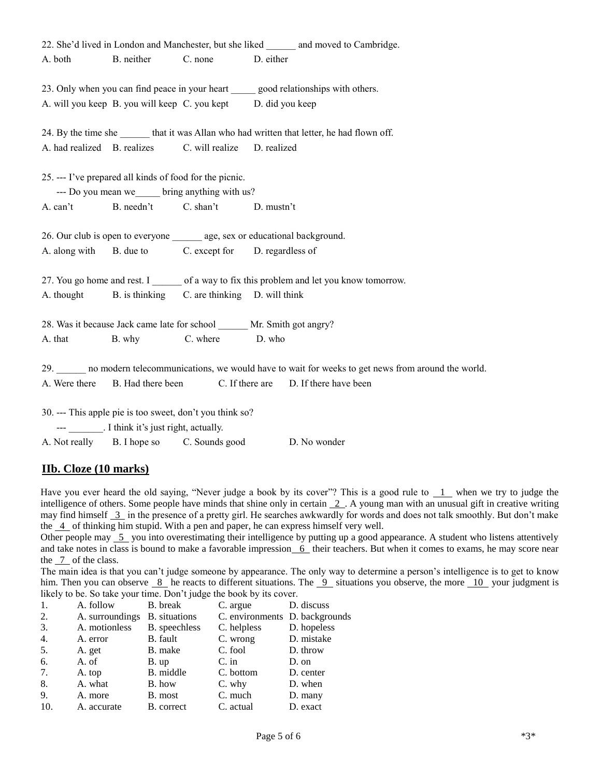|                                                                                              |                                                         |                                                               | 22. She'd lived in London and Manchester, but she liked ________ and moved to Cambridge.             |  |  |  |  |
|----------------------------------------------------------------------------------------------|---------------------------------------------------------|---------------------------------------------------------------|------------------------------------------------------------------------------------------------------|--|--|--|--|
| A. both                                                                                      |                                                         | B. neither C. none D. either                                  |                                                                                                      |  |  |  |  |
|                                                                                              |                                                         |                                                               |                                                                                                      |  |  |  |  |
|                                                                                              |                                                         |                                                               | 23. Only when you can find peace in your heart good relationships with others.                       |  |  |  |  |
|                                                                                              |                                                         | A. will you keep B. you will keep C. you kept D. did you keep |                                                                                                      |  |  |  |  |
|                                                                                              |                                                         |                                                               |                                                                                                      |  |  |  |  |
| 24. By the time she _______ that it was Allan who had written that letter, he had flown off. |                                                         |                                                               |                                                                                                      |  |  |  |  |
|                                                                                              |                                                         | A. had realized B. realizes C. will realize D. realized       |                                                                                                      |  |  |  |  |
|                                                                                              |                                                         |                                                               |                                                                                                      |  |  |  |  |
|                                                                                              | 25. --- I've prepared all kinds of food for the picnic. |                                                               |                                                                                                      |  |  |  |  |
|                                                                                              |                                                         | --- Do you mean we bring anything with us?                    |                                                                                                      |  |  |  |  |
|                                                                                              |                                                         | A. can't B. needn't C. shan't D. mustn't                      |                                                                                                      |  |  |  |  |
|                                                                                              |                                                         |                                                               |                                                                                                      |  |  |  |  |
|                                                                                              |                                                         |                                                               | 26. Our club is open to everyone ________ age, sex or educational background.                        |  |  |  |  |
|                                                                                              |                                                         | A. along with B. due to C. except for D. regardless of        |                                                                                                      |  |  |  |  |
|                                                                                              |                                                         |                                                               | 27. You go home and rest. I of a way to fix this problem and let you know tomorrow.                  |  |  |  |  |
|                                                                                              |                                                         |                                                               |                                                                                                      |  |  |  |  |
|                                                                                              |                                                         | A. thought B. is thinking C. are thinking D. will think       |                                                                                                      |  |  |  |  |
|                                                                                              |                                                         |                                                               | 28. Was it because Jack came late for school ______ Mr. Smith got angry?                             |  |  |  |  |
|                                                                                              |                                                         | A. that B. why C. where D. who                                |                                                                                                      |  |  |  |  |
|                                                                                              |                                                         |                                                               |                                                                                                      |  |  |  |  |
|                                                                                              |                                                         |                                                               | 29. no modern telecommunications, we would have to wait for weeks to get news from around the world. |  |  |  |  |
|                                                                                              |                                                         |                                                               | A. Were there B. Had there been C. If there are D. If there have been                                |  |  |  |  |
|                                                                                              |                                                         |                                                               |                                                                                                      |  |  |  |  |
|                                                                                              |                                                         | 30. --- This apple pie is too sweet, don't you think so?      |                                                                                                      |  |  |  |  |
|                                                                                              | --- _________. I think it's just right, actually.       |                                                               |                                                                                                      |  |  |  |  |
|                                                                                              |                                                         | A. Not really B. I hope so C. Sounds good                     | D. No wonder                                                                                         |  |  |  |  |

### **IIb. Cloze (10 marks)**

Have you ever heard the old saying, "Never judge a book by its cover"? This is a good rule to  $1$  when we try to judge the intelligence of others. Some people have minds that shine only in certain 2. A young man with an unusual gift in creative writing may find himself 3 in the presence of a pretty girl. He searches awkwardly for words and does not talk smoothly. But don't make the  $\overline{4}$  of thinking him stupid. With a pen and paper, he can express himself very well.

Other people may  $\overline{5}$  you into overestimating their intelligence by putting up a good appearance. A student who listens attentively and take notes in class is bound to make a favorable impression  $\overline{6}$  their teachers. But when it comes to exams, he may score near the  $\frac{7}{2}$  of the class.

The main idea is that you can't judge someone by appearance. The only way to determine a person's intelligence is to get to know him. Then you can observe  $8$  he reacts to different situations. The  $9$  situations you observe, the more  $10$  your judgment is likely to be. So take your time. Don't judge the book by its cover.

| 1.  | A. follow       | B. break             | C. argue                       | D. discuss  |
|-----|-----------------|----------------------|--------------------------------|-------------|
| 2.  | A. surroundings | <b>B.</b> situations | C. environments D. backgrounds |             |
| 3.  | A. motionless   | B. speechless        | C. helpless                    | D. hopeless |
| 4.  | A. error        | B. fault             | C. wrong                       | D. mistake  |
| 5.  | A. get          | B. make              | C. fool                        | D. throw    |
| 6.  | A. of           | B. up                | $C \cdot$ in                   | D. on       |
| 7.  | A. top          | B. middle            | C. bottom                      | D. center   |
| 8.  | A. what         | B. how               | C. why                         | D. when     |
| 9.  | A. more         | B. most              | C. much                        | D. many     |
| 10. | A. accurate     | B. correct           | C. actual                      | D. exact    |